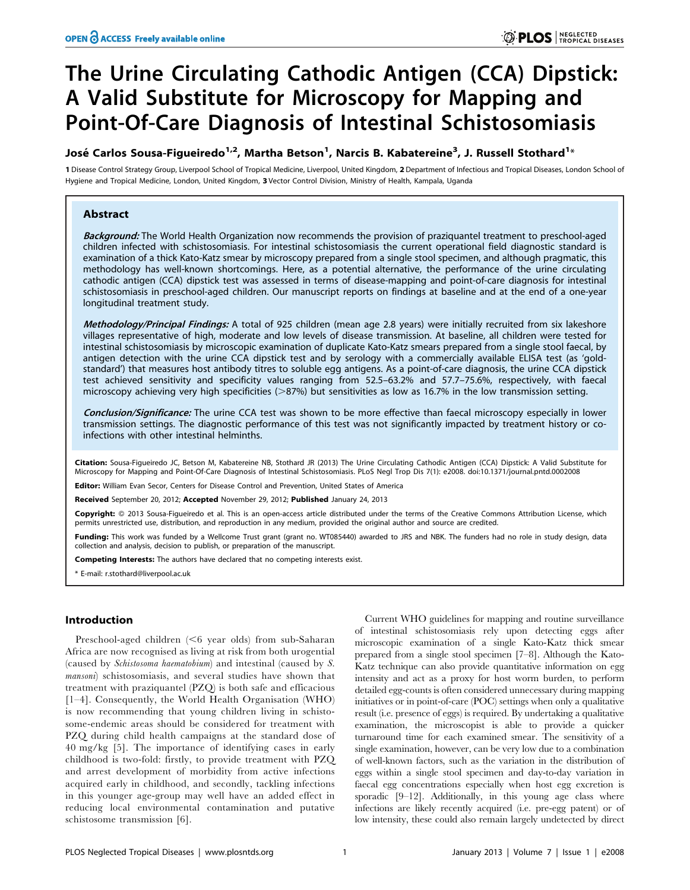# The Urine Circulating Cathodic Antigen (CCA) Dipstick: A Valid Substitute for Microscopy for Mapping and Point-Of-Care Diagnosis of Intestinal Schistosomiasis

# José Carlos Sousa-Figueiredo<sup>1,2</sup>, Martha Betson<sup>1</sup>, Narcis B. Kabatereine<sup>3</sup>, J. Russell Stothard<sup>1</sup>\*

1 Disease Control Strategy Group, Liverpool School of Tropical Medicine, Liverpool, United Kingdom, 2 Department of Infectious and Tropical Diseases, London School of Hygiene and Tropical Medicine, London, United Kingdom, 3 Vector Control Division, Ministry of Health, Kampala, Uganda

# Abstract

Background: The World Health Organization now recommends the provision of praziquantel treatment to preschool-aged children infected with schistosomiasis. For intestinal schistosomiasis the current operational field diagnostic standard is examination of a thick Kato-Katz smear by microscopy prepared from a single stool specimen, and although pragmatic, this methodology has well-known shortcomings. Here, as a potential alternative, the performance of the urine circulating cathodic antigen (CCA) dipstick test was assessed in terms of disease-mapping and point-of-care diagnosis for intestinal schistosomiasis in preschool-aged children. Our manuscript reports on findings at baseline and at the end of a one-year longitudinal treatment study.

Methodology/Principal Findings: A total of 925 children (mean age 2.8 years) were initially recruited from six lakeshore villages representative of high, moderate and low levels of disease transmission. At baseline, all children were tested for intestinal schistosomiasis by microscopic examination of duplicate Kato-Katz smears prepared from a single stool faecal, by antigen detection with the urine CCA dipstick test and by serology with a commercially available ELISA test (as 'goldstandard') that measures host antibody titres to soluble egg antigens. As a point-of-care diagnosis, the urine CCA dipstick test achieved sensitivity and specificity values ranging from 52.5–63.2% and 57.7–75.6%, respectively, with faecal microscopy achieving very high specificities ( $>87%$ ) but sensitivities as low as 16.7% in the low transmission setting.

Conclusion/Significance: The urine CCA test was shown to be more effective than faecal microscopy especially in lower transmission settings. The diagnostic performance of this test was not significantly impacted by treatment history or coinfections with other intestinal helminths.

Citation: Sousa-Figueiredo JC, Betson M, Kabatereine NB, Stothard JR (2013) The Urine Circulating Cathodic Antigen (CCA) Dipstick: A Valid Substitute for Microscopy for Mapping and Point-Of-Care Diagnosis of Intestinal Schistosomiasis. PLoS Negl Trop Dis 7(1): e2008. doi:10.1371/journal.pntd.0002008

Editor: William Evan Secor, Centers for Disease Control and Prevention, United States of America

Received September 20, 2012; Accepted November 29, 2012; Published January 24, 2013

Copyright: © 2013 Sousa-Figueiredo et al. This is an open-access article distributed under the terms of the Creative Commons Attribution License, which permits unrestricted use, distribution, and reproduction in any medium, provided the original author and source are credited.

Funding: This work was funded by a Wellcome Trust grant (grant no. WT085440) awarded to JRS and NBK. The funders had no role in study design, data collection and analysis, decision to publish, or preparation of the manuscript.

Competing Interests: The authors have declared that no competing interests exist.

\* E-mail: r.stothard@liverpool.ac.uk

# Introduction

Preschool-aged children  $(<$ 6 year olds) from sub-Saharan Africa are now recognised as living at risk from both urogential (caused by Schistosoma haematobium) and intestinal (caused by S. mansoni) schistosomiasis, and several studies have shown that treatment with praziquantel (PZQ) is both safe and efficacious [1–4]. Consequently, the World Health Organisation (WHO) is now recommending that young children living in schistosome-endemic areas should be considered for treatment with PZQ during child health campaigns at the standard dose of 40 mg/kg [5]. The importance of identifying cases in early childhood is two-fold: firstly, to provide treatment with PZQ and arrest development of morbidity from active infections acquired early in childhood, and secondly, tackling infections in this younger age-group may well have an added effect in reducing local environmental contamination and putative schistosome transmission [6].

Current WHO guidelines for mapping and routine surveillance of intestinal schistosomiasis rely upon detecting eggs after microscopic examination of a single Kato-Katz thick smear prepared from a single stool specimen [7–8]. Although the Kato-Katz technique can also provide quantitative information on egg intensity and act as a proxy for host worm burden, to perform detailed egg-counts is often considered unnecessary during mapping initiatives or in point-of-care (POC) settings when only a qualitative result (i.e. presence of eggs) is required. By undertaking a qualitative examination, the microscopist is able to provide a quicker turnaround time for each examined smear. The sensitivity of a single examination, however, can be very low due to a combination of well-known factors, such as the variation in the distribution of eggs within a single stool specimen and day-to-day variation in faecal egg concentrations especially when host egg excretion is sporadic [9–12]. Additionally, in this young age class where infections are likely recently acquired (i.e. pre-egg patent) or of low intensity, these could also remain largely undetected by direct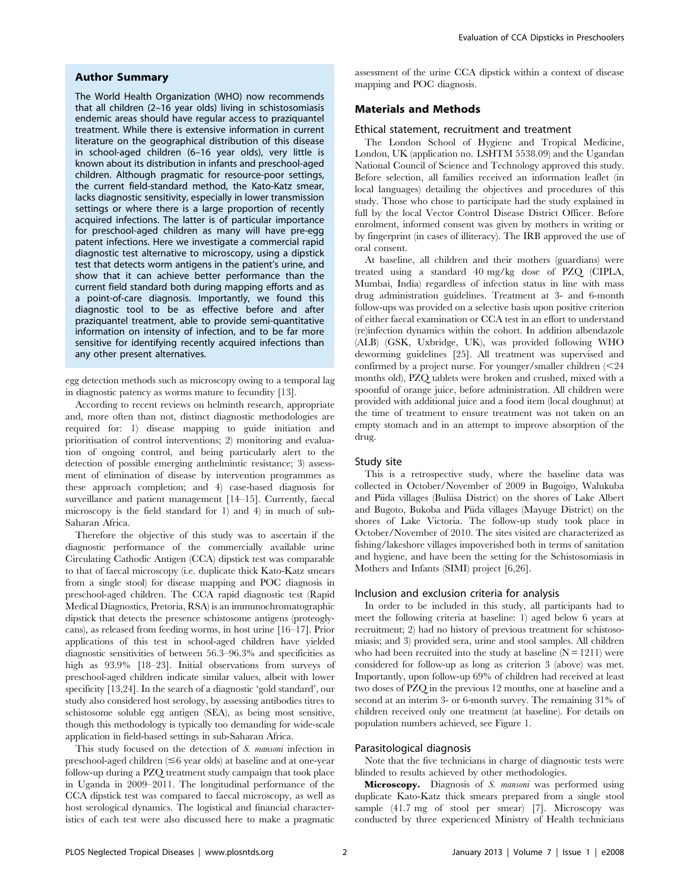### Author Summary

The World Health Organization (WHO) now recommends that all children (2–16 year olds) living in schistosomiasis endemic areas should have regular access to praziquantel treatment. While there is extensive information in current literature on the geographical distribution of this disease in school-aged children (6–16 year olds), very little is known about its distribution in infants and preschool-aged children. Although pragmatic for resource-poor settings, the current field-standard method, the Kato-Katz smear, lacks diagnostic sensitivity, especially in lower transmission settings or where there is a large proportion of recently acquired infections. The latter is of particular importance for preschool-aged children as many will have pre-egg patent infections. Here we investigate a commercial rapid diagnostic test alternative to microscopy, using a dipstick test that detects worm antigens in the patient's urine, and show that it can achieve better performance than the current field standard both during mapping efforts and as a point-of-care diagnosis. Importantly, we found this diagnostic tool to be as effective before and after praziquantel treatment, able to provide semi-quantitative information on intensity of infection, and to be far more sensitive for identifying recently acquired infections than any other present alternatives.

egg detection methods such as microscopy owing to a temporal lag in diagnostic patency as worms mature to fecundity [13].

According to recent reviews on helminth research, appropriate and, more often than not, distinct diagnostic methodologies are required for: 1) disease mapping to guide initiation and prioritisation of control interventions; 2) monitoring and evaluation of ongoing control, and being particularly alert to the detection of possible emerging anthelmintic resistance; 3) assessment of elimination of disease by intervention programmes as these approach completion; and 4) case-based diagnosis for surveillance and patient management [14–15]. Currently, faecal microscopy is the field standard for 1) and 4) in much of sub-Saharan Africa.

Therefore the objective of this study was to ascertain if the diagnostic performance of the commercially available urine Circulating Cathodic Antigen (CCA) dipstick test was comparable to that of faecal microscopy (i.e. duplicate thick Kato-Katz smears from a single stool) for disease mapping and POC diagnosis in preschool-aged children. The CCA rapid diagnostic test (Rapid Medical Diagnostics, Pretoria, RSA) is an immunochromatographic dipstick that detects the presence schistosome antigens (proteoglycans), as released from feeding worms, in host urine [16–17]. Prior applications of this test in school-aged children have yielded diagnostic sensitivities of between 56.3–96.3% and specificities as high as  $93.9\%$  [18–23]. Initial observations from surveys of preschool-aged children indicate similar values, albeit with lower specificity [13,24]. In the search of a diagnostic 'gold standard', our study also considered host serology, by assessing antibodies titres to schistosome soluble egg antigen (SEA), as being most sensitive, though this methodology is typically too demanding for wide-scale application in field-based settings in sub-Saharan Africa.

This study focused on the detection of S. mansoni infection in preschool-aged children (#6 year olds) at baseline and at one-year follow-up during a PZQ treatment study campaign that took place in Uganda in 2009–2011. The longitudinal performance of the CCA dipstick test was compared to faecal microscopy, as well as host serological dynamics. The logistical and financial characteristics of each test were also discussed here to make a pragmatic assessment of the urine CCA dipstick within a context of disease mapping and POC diagnosis.

# Materials and Methods

#### Ethical statement, recruitment and treatment

The London School of Hygiene and Tropical Medicine, London, UK (application no. LSHTM 5538.09) and the Ugandan National Council of Science and Technology approved this study. Before selection, all families received an information leaflet (in local languages) detailing the objectives and procedures of this study. Those who chose to participate had the study explained in full by the local Vector Control Disease District Officer. Before enrolment, informed consent was given by mothers in writing or by fingerprint (in cases of illiteracy). The IRB approved the use of oral consent.

At baseline, all children and their mothers (guardians) were treated using a standard 40 mg/kg dose of PZQ (CIPLA, Mumbai, India) regardless of infection status in line with mass drug administration guidelines. Treatment at 3- and 6-month follow-ups was provided on a selective basis upon positive criterion of either faecal examination or CCA test in an effort to understand (re)infection dynamics within the cohort. In addition albendazole (ALB) (GSK, Uxbridge, UK), was provided following WHO deworming guidelines [25]. All treatment was supervised and confirmed by a project nurse. For younger/smaller children  $\leq 24$ months old), PZQ tablets were broken and crushed, mixed with a spoonful of orange juice, before administration. All children were provided with additional juice and a food item (local doughnut) at the time of treatment to ensure treatment was not taken on an empty stomach and in an attempt to improve absorption of the drug.

#### Study site

This is a retrospective study, where the baseline data was collected in October/November of 2009 in Bugoigo, Walukuba and Piida villages (Buliisa District) on the shores of Lake Albert and Bugoto, Bukoba and Piida villages (Mayuge District) on the shores of Lake Victoria. The follow-up study took place in October/November of 2010. The sites visited are characterized as fishing/lakeshore villages impoverished both in terms of sanitation and hygiene, and have been the setting for the Schistosomiasis in Mothers and Infants (SIMI) project [6,26].

#### Inclusion and exclusion criteria for analysis

In order to be included in this study, all participants had to meet the following criteria at baseline: 1) aged below 6 years at recruitment; 2) had no history of previous treatment for schistosomiasis; and 3) provided sera, urine and stool samples. All children who had been recruited into the study at baseline  $(N = 1211)$  were considered for follow-up as long as criterion 3 (above) was met. Importantly, upon follow-up 69% of children had received at least two doses of PZQ in the previous 12 months, one at baseline and a second at an interim 3- or 6-month survey. The remaining 31% of children received only one treatment (at baseline). For details on population numbers achieved, see Figure 1.

#### Parasitological diagnosis

Note that the five technicians in charge of diagnostic tests were blinded to results achieved by other methodologies.

Microscopy. Diagnosis of S. mansoni was performed using duplicate Kato-Katz thick smears prepared from a single stool sample (41.7 mg of stool per smear) [7]. Microscopy was conducted by three experienced Ministry of Health technicians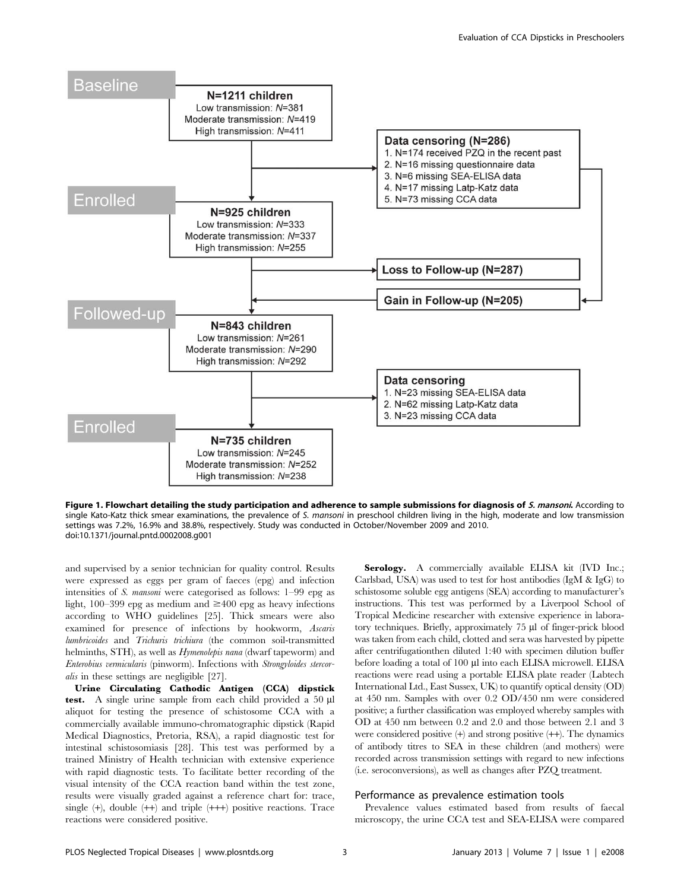

Figure 1. Flowchart detailing the study participation and adherence to sample submissions for diagnosis of S. mansoni. According to single Kato-Katz thick smear examinations, the prevalence of S. mansoni in preschool children living in the high, moderate and low transmission settings was 7.2%, 16.9% and 38.8%, respectively. Study was conducted in October/November 2009 and 2010. doi:10.1371/journal.pntd.0002008.g001

and supervised by a senior technician for quality control. Results were expressed as eggs per gram of faeces (epg) and infection intensities of S. mansoni were categorised as follows: 1–99 epg as light, 100–399 epg as medium and  $\geq 400$  epg as heavy infections according to WHO guidelines [25]. Thick smears were also examined for presence of infections by hookworm, Ascaris lumbricoides and Trichuris trichiura (the common soil-transmitted helminths, STH), as well as *Hymenolepis nana* (dwarf tapeworm) and Enterobius vermicularis (pinworm). Infections with Strongyloides stercoralis in these settings are negligible [27].

Urine Circulating Cathodic Antigen (CCA) dipstick test. A single urine sample from each child provided a 50 ml aliquot for testing the presence of schistosome CCA with a commercially available immuno-chromatographic dipstick (Rapid Medical Diagnostics, Pretoria, RSA), a rapid diagnostic test for intestinal schistosomiasis [28]. This test was performed by a trained Ministry of Health technician with extensive experience with rapid diagnostic tests. To facilitate better recording of the visual intensity of the CCA reaction band within the test zone, results were visually graded against a reference chart for: trace, single  $(+)$ , double  $(++)$  and triple  $(+++)$  positive reactions. Trace reactions were considered positive.

Serology. A commercially available ELISA kit (IVD Inc.; Carlsbad, USA) was used to test for host antibodies (IgM & IgG) to schistosome soluble egg antigens (SEA) according to manufacturer's instructions. This test was performed by a Liverpool School of Tropical Medicine researcher with extensive experience in laboratory techniques. Briefly, approximately 75 µl of finger-prick blood was taken from each child, clotted and sera was harvested by pipette after centrifugationthen diluted 1:40 with specimen dilution buffer before loading a total of 100 µl into each ELISA microwell. ELISA reactions were read using a portable ELISA plate reader (Labtech International Ltd., East Sussex, UK) to quantify optical density (OD) at 450 nm. Samples with over 0.2 OD/450 nm were considered positive; a further classification was employed whereby samples with OD at 450 nm between 0.2 and 2.0 and those between 2.1 and 3 were considered positive (+) and strong positive (++). The dynamics of antibody titres to SEA in these children (and mothers) were recorded across transmission settings with regard to new infections (i.e. seroconversions), as well as changes after PZQ treatment.

#### Performance as prevalence estimation tools

Prevalence values estimated based from results of faecal microscopy, the urine CCA test and SEA-ELISA were compared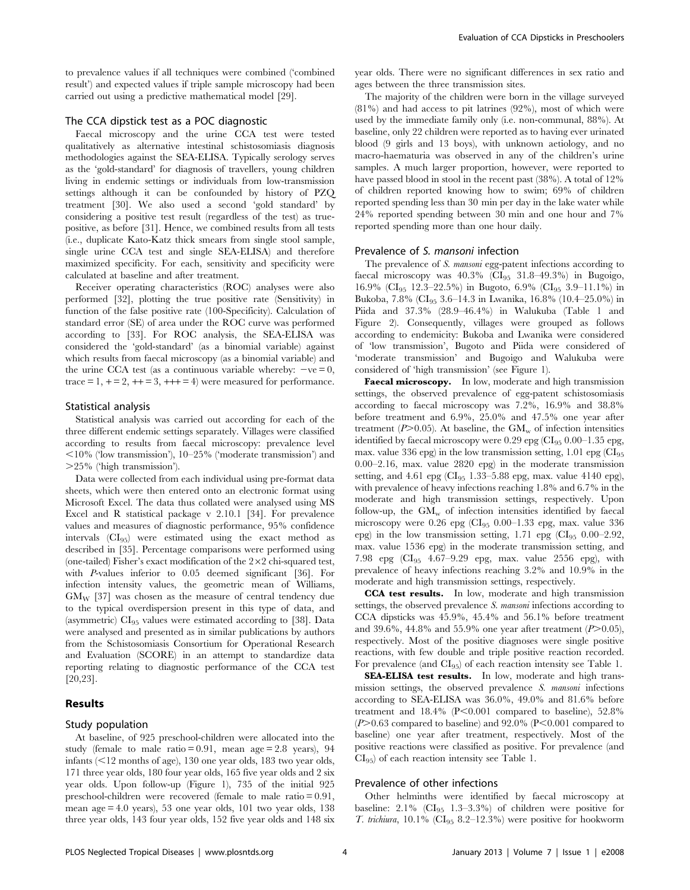to prevalence values if all techniques were combined ('combined result') and expected values if triple sample microscopy had been carried out using a predictive mathematical model [29].

# The CCA dipstick test as a POC diagnostic

Faecal microscopy and the urine CCA test were tested qualitatively as alternative intestinal schistosomiasis diagnosis methodologies against the SEA-ELISA. Typically serology serves as the 'gold-standard' for diagnosis of travellers, young children living in endemic settings or individuals from low-transmission settings although it can be confounded by history of PZQ treatment [30]. We also used a second 'gold standard' by considering a positive test result (regardless of the test) as truepositive, as before [31]. Hence, we combined results from all tests (i.e., duplicate Kato-Katz thick smears from single stool sample, single urine CCA test and single SEA-ELISA) and therefore maximized specificity. For each, sensitivity and specificity were calculated at baseline and after treatment.

Receiver operating characteristics (ROC) analyses were also performed [32], plotting the true positive rate (Sensitivity) in function of the false positive rate (100-Specificity). Calculation of standard error (SE) of area under the ROC curve was performed according to [33]. For ROC analysis, the SEA-ELISA was considered the 'gold-standard' (as a binomial variable) against which results from faecal microscopy (as a binomial variable) and the urine CCA test (as a continuous variable whereby:  $-ve = 0$ , trace  $= 1, +2, +1, = 3, +1, +1, = 4$  were measured for performance.

#### Statistical analysis

Statistical analysis was carried out according for each of the three different endemic settings separately. Villages were classified according to results from faecal microscopy: prevalence level  $<$ 10% ('low transmission'), 10–25% ('moderate transmission') and .25% ('high transmission').

Data were collected from each individual using pre-format data sheets, which were then entered onto an electronic format using Microsoft Excel. The data thus collated were analysed using MS Excel and R statistical package v 2.10.1 [34]. For prevalence values and measures of diagnostic performance, 95% confidence intervals (CI95) were estimated using the exact method as described in [35]. Percentage comparisons were performed using (one-tailed) Fisher's exact modification of the  $2\times2$  chi-squared test, with P-values inferior to 0.05 deemed significant [36]. For infection intensity values, the geometric mean of Williams,  $GM_W$  [37] was chosen as the measure of central tendency due to the typical overdispersion present in this type of data, and (asymmetric)  $CI_{95}$  values were estimated according to [38]. Data were analysed and presented as in similar publications by authors from the Schistosomiasis Consortium for Operational Research and Evaluation (SCORE) in an attempt to standardize data reporting relating to diagnostic performance of the CCA test [20,23].

# Results

#### Study population

At baseline, of 925 preschool-children were allocated into the study (female to male ratio = 0.91, mean age = 2.8 years), 94 infants  $\leq$  12 months of age), 130 one year olds, 183 two year olds, 171 three year olds, 180 four year olds, 165 five year olds and 2 six year olds. Upon follow-up (Figure 1), 735 of the initial 925 preschool-children were recovered (female to male ratio = 0.91, mean age = 4.0 years), 53 one year olds, 101 two year olds, 138 three year olds, 143 four year olds, 152 five year olds and 148 six year olds. There were no significant differences in sex ratio and ages between the three transmission sites.

The majority of the children were born in the village surveyed (81%) and had access to pit latrines (92%), most of which were used by the immediate family only (i.e. non-communal, 88%). At baseline, only 22 children were reported as to having ever urinated blood (9 girls and 13 boys), with unknown aetiology, and no macro-haematuria was observed in any of the children's urine samples. A much larger proportion, however, were reported to have passed blood in stool in the recent past (38%). A total of 12% of children reported knowing how to swim; 69% of children reported spending less than 30 min per day in the lake water while 24% reported spending between 30 min and one hour and 7% reported spending more than one hour daily.

#### Prevalence of S. mansoni infection

The prevalence of S. *mansoni* egg-patent infections according to faecal microscopy was  $40.3\%$  (CI<sub>95</sub> 31.8–49.3%) in Bugoigo, 16.9% (CI<sub>95</sub> 12.3–22.5%) in Bugoto, 6.9% (CI<sub>95</sub> 3.9–11.1%) in Bukoba, 7.8% (CI<sub>95</sub> 3.6–14.3 in Lwanika, 16.8% (10.4–25.0%) in Piida and 37.3% (28.9–46.4%) in Walukuba (Table 1 and Figure 2). Consequently, villages were grouped as follows according to endemicity: Bukoba and Lwanika were considered of 'low transmission', Bugoto and Piida were considered of 'moderate transmission' and Bugoigo and Walukuba were considered of 'high transmission' (see Figure 1).

Faecal microscopy. In low, moderate and high transmission settings, the observed prevalence of egg-patent schistosomiasis according to faecal microscopy was 7.2%, 16.9% and 38.8% before treatment and 6.9%, 25.0% and 47.5% one year after treatment ( $P > 0.05$ ). At baseline, the  $GM_{\rm w}$  of infection intensities identified by faecal microscopy were  $0.29$  epg (CI<sub>95</sub> 0.00–1.35 epg, max. value 336 epg) in the low transmission setting,  $1.01$  epg (CI<sub>95</sub>) 0.00–2.16, max. value 2820 epg) in the moderate transmission setting, and  $4.61$  epg (CI<sub>95</sub> 1.33–5.88 epg, max. value  $4140$  epg), with prevalence of heavy infections reaching 1.8% and 6.7% in the moderate and high transmission settings, respectively. Upon follow-up, the  $GM_{w}$  of infection intensities identified by faecal microscopy were  $0.26$  epg (CI<sub>95</sub> 0.00–1.33 epg, max. value 336 epg) in the low transmission setting,  $1.71$  epg (CI<sub>95</sub> 0.00–2.92, max. value 1536 epg) in the moderate transmission setting, and 7.98 epg (CI95 4.67–9.29 epg, max. value 2556 epg), with prevalence of heavy infections reaching 3.2% and 10.9% in the moderate and high transmission settings, respectively.

CCA test results. In low, moderate and high transmission settings, the observed prevalence S. mansoni infections according to CCA dipsticks was 45.9%, 45.4% and 56.1% before treatment and 39.6%, 44.8% and 55.9% one year after treatment  $(P>0.05)$ , respectively. Most of the positive diagnoses were single positive reactions, with few double and triple positive reaction recorded. For prevalence (and CI95) of each reaction intensity see Table 1.

SEA-ELISA test results. In low, moderate and high transmission settings, the observed prevalence S. mansoni infections according to SEA-ELISA was 36.0%, 49.0% and 81.6% before treatment and  $18.4\%$  (P<0.001 compared to baseline), 52.8%  $(P>0.63$  compared to baseline) and 92.0%  $(P<0.001$  compared to baseline) one year after treatment, respectively. Most of the positive reactions were classified as positive. For prevalence (and  $CI_{95}$ ) of each reaction intensity see Table 1.

#### Prevalence of other infections

Other helminths were identified by faecal microscopy at baseline:  $2.1\%$  (CI<sub>95</sub> 1.3–3.3%) of children were positive for T. trichiura,  $10.1\%$  (CI<sub>95</sub> 8.2–12.3%) were positive for hookworm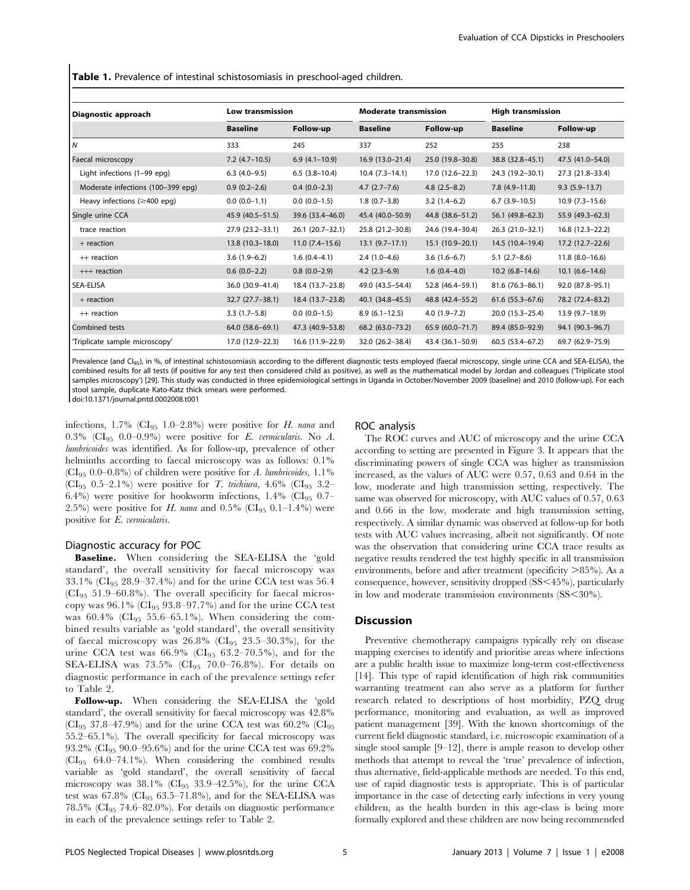Table 1. Prevalence of intestinal schistosomiasis in preschool-aged children.

| Diagnostic approach                | <b>Low transmission</b> |                   | <b>Moderate transmission</b> |                     | <b>High transmission</b> |                     |
|------------------------------------|-------------------------|-------------------|------------------------------|---------------------|--------------------------|---------------------|
|                                    | <b>Baseline</b>         | Follow-up         | <b>Baseline</b>              | Follow-up           | <b>Baseline</b>          | Follow-up           |
| I٧                                 | 333                     | 245               | 337                          | 252                 | 255                      | 238                 |
| Faecal microscopy                  | $7.2$ (4.7-10.5)        | $6.9(4.1-10.9)$   | $16.9(13.0-21.4)$            | 25.0 (19.8-30.8)    | 38.8 (32.8–45.1)         | 47.5 (41.0-54.0)    |
| Light infections (1-99 epg)        | $6.3(4.0-9.5)$          | $6.5(3.8-10.4)$   | $10.4(7.3-14.1)$             | $17.0(12.6-22.3)$   | 24.3 (19.2–30.1)         | 27.3 (21.8-33.4)    |
| Moderate infections (100-399 epg)  | $0.9(0.2 - 2.6)$        | $0.4(0.0-2.3)$    | $4.7(2.7-7.6)$               | $4.8$ (2.5-8.2)     | $7.8(4.9-11.8)$          | $9.3(5.9-13.7)$     |
| Heavy infections ( $\geq$ 400 epg) | $0.0 (0.0 - 1.1)$       | $0.0(0.0-1.5)$    | $1.8(0.7-3.8)$               | $3.2(1.4-6.2)$      | $6.7(3.9-10.5)$          | $10.9(7.3-15.6)$    |
| Single urine CCA                   | 45.9 (40.5–51.5)        | 39.6 (33.4–46.0)  | 45.4 (40.0-50.9)             | 44.8 (38.6–51.2)    | 56.1 (49.8–62.3)         | 55.9 (49.3-62.3)    |
| trace reaction                     | 27.9 (23.2-33.1)        | $26.1(20.7-32.1)$ | 25.8 (21.2-30.8)             | 24.6 (19.4-30.4)    | $26.3(21.0-32.1)$        | $16.8(12.3-22.2)$   |
| + reaction                         | $13.8(10.3-18.0)$       | $11.0(7.4-15.6)$  | $13.1 (9.7 - 17.1)$          | $15.1(10.9-20.1)$   | 14.5 (10.4–19.4)         | $17.2(12.7-22.6)$   |
| $++$ reaction                      | $3.6(1.9-6.2)$          | $1.6(0.4-4.1)$    | $2.4(1.0-4.6)$               | $3.6(1.6-6.7)$      | $5.1(2.7-8.6)$           | $11.8(8.0-16.6)$    |
| +++ reaction                       | $0.6(0.0-2.2)$          | $0.8(0.0-2.9)$    | $4.2(2.3-6.9)$               | $1.6(0.4-4.0)$      | $10.2(6.8-14.6)$         | $10.1 (6.6 - 14.6)$ |
| <b>SEA-ELISA</b>                   | 36.0 (30.9-41.4)        | 18.4 (13.7-23.8)  | 49.0 (43.5-54.4)             | 52.8 (46.4-59.1)    | $81.6(76.3 - 86.1)$      | 92.0 (87.8-95.1)    |
| $+$ reaction                       | $32.7 (27.7 - 38.1)$    | 18.4 (13.7–23.8)  | 40.1 (34.8–45.5)             | 48.8 (42.4–55.2)    | $61.6$ (55.3-67.6)       | 78.2 (72.4-83.2)    |
| ++ reaction                        | $3.3(1.7-5.8)$          | $0.0(0.0-1.5)$    | $8.9(6.1-12.5)$              | $4.0(1.9 - 7.2)$    | $20.0(15.3 - 25.4)$      | 13.9 (9.7-18.9)     |
| Combined tests                     | 64.0 (58.6–69.1)        | 47.3 (40.9-53.8)  | $68.2(63.0 - 73.2)$          | $65.9(60.0 - 71.7)$ | 89.4 (85.0-92.9)         | 94.1 (90.3-96.7)    |
| Triplicate sample microscopy'      | 17.0 (12.9–22.3)        | 16.6 (11.9–22.9)  | 32.0 (26.2-38.4)             | 43.4 (36.1–50.9)    | $60.5(53.4 - 67.2)$      | 69.7 (62.9-75.9)    |

Prevalence (and CI<sub>95</sub>), in %, of intestinal schistosomiasis according to the different diagnostic tests employed (faecal microscopy, single urine CCA and SEA-ELISA), the combined results for all tests (if positive for any test then considered child as positive), as well as the mathematical model by Jordan and colleagues ('Triplicate stool samples microscopy') [29]. This study was conducted in three epidemiological settings in Uganda in October/November 2009 (baseline) and 2010 (follow-up). For each stool sample, duplicate Kato-Katz thick smears were performed.

doi:10.1371/journal.pntd.0002008.t001

infections,  $1.7\%$  (CI<sub>95</sub> 1.0–2.8%) were positive for *H. nana* and 0.3% (CI<sub>95</sub> 0.0–0.9%) were positive for E. vermicularis. No A. lumbricoides was identified. As for follow-up, prevalence of other helminths according to faecal microscopy was as follows:  $0.1\%$ (CI<sub>95</sub> 0.0–0.8%) of children were positive for A. lumbricoides,  $1.1\%$ (CI<sub>95</sub> 0.5–2.1%) were positive for *T. trichiura*, 4.6% (CI<sub>95</sub> 3.2– 6.4%) were positive for hookworm infections,  $1.4\%$  (CI<sub>95</sub> 0.7– 2.5%) were positive for H. nana and 0.5% (CI<sub>95</sub> 0.1–1.4%) were positive for E. vermicularis.

#### Diagnostic accuracy for POC

Baseline. When considering the SEA-ELISA the 'gold standard', the overall sensitivity for faecal microscopy was 33.1% ( $CI_{95}$  28.9–37.4%) and for the urine CCA test was 56.4  $(Cl_{95}$  51.9–60.8%). The overall specificity for faecal microscopy was  $96.1\%$  (CI<sub>95</sub> 93.8–97.7%) and for the urine CCA test was  $60.4\%$  (CI<sub>95</sub> 55.6–65.1%). When considering the combined results variable as 'gold standard', the overall sensitivity of faecal microscopy was  $26.8\%$  (CI<sub>95</sub> 23.5–30.3%), for the urine CCA test was  $66.9\%$  (CI<sub>95</sub> 63.2–70.5%), and for the SEA-ELISA was  $73.5\%$  (CI<sub>95</sub> 70.0-76.8%). For details on diagnostic performance in each of the prevalence settings refer to Table 2.

Follow-up. When considering the SEA-ELISA the 'gold standard', the overall sensitivity for faecal microscopy was 42.8% (CI<sub>95</sub> 37.8–47.9%) and for the urine CCA test was  $60.2\%$  (CI<sub>95</sub> 55.2–65.1%). The overall specificity for faecal microscopy was 93.2% (CI95 90.0–95.6%) and for the urine CCA test was 69.2% (CI95 64.0–74.1%). When considering the combined results variable as 'gold standard', the overall sensitivity of faecal microscopy was  $38.1\%$  (CI<sub>95</sub>  $33.9-42.5\%$ ), for the urine CCA test was  $67.8\%$  (CI<sub>95</sub>  $63.5-71.8\%$ ), and for the SEA-ELISA was 78.5% (CI95 74.6–82.0%). For details on diagnostic performance in each of the prevalence settings refer to Table 2.

#### ROC analysis

The ROC curves and AUC of microscopy and the urine CCA according to setting are presented in Figure 3. It appears that the discriminating powers of single CCA was higher as transmission increased, as the values of AUC were 0.57, 0.63 and 0.64 in the low, moderate and high transmission setting, respectively. The same was observed for microscopy, with AUC values of 0.57, 0.63 and 0.66 in the low, moderate and high transmission setting, respectively. A similar dynamic was observed at follow-up for both tests with AUC values increasing, albeit not significantly. Of note was the observation that considering urine CCA trace results as negative results rendered the test highly specific in all transmission environments, before and after treatment (specificity  $>85\%$ ). As a consequence, however, sensitivity dropped  $(SS<45\%)$ , particularly in low and moderate transmission environments  $(SS<30\%)$ .

## **Discussion**

Preventive chemotherapy campaigns typically rely on disease mapping exercises to identify and prioritise areas where infections are a public health issue to maximize long-term cost-effectiveness [14]. This type of rapid identification of high risk communities warranting treatment can also serve as a platform for further research related to descriptions of host morbidity, PZQ drug performance, monitoring and evaluation, as well as improved patient management [39]. With the known shortcomings of the current field diagnostic standard, i.e. microscopic examination of a single stool sample [9–12], there is ample reason to develop other methods that attempt to reveal the 'true' prevalence of infection, thus alternative, field-applicable methods are needed. To this end, use of rapid diagnostic tests is appropriate. This is of particular importance in the case of detecting early infections in very young children, as the health burden in this age-class is being more formally explored and these children are now being recommended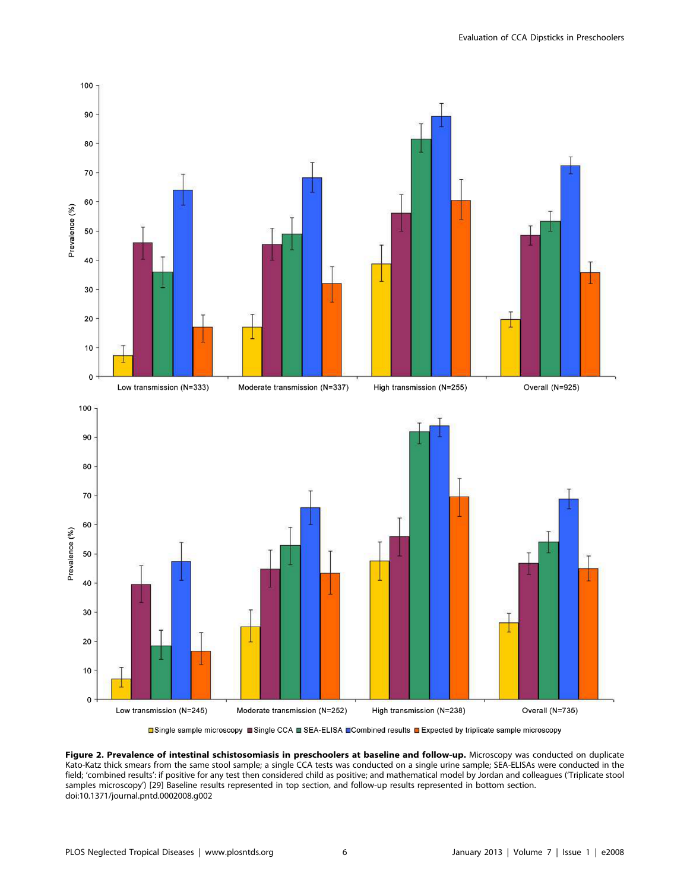

**□Single sample microscopy ■Single CCA ■ SEA-ELISA ■Combined results ■ Expected by triplicate sample microscopy** 

Figure 2. Prevalence of intestinal schistosomiasis in preschoolers at baseline and follow-up. Microscopy was conducted on duplicate Kato-Katz thick smears from the same stool sample; a single CCA tests was conducted on a single urine sample; SEA-ELISAs were conducted in the field; 'combined results': if positive for any test then considered child as positive; and mathematical model by Jordan and colleagues ('Triplicate stool samples microscopy') [29] Baseline results represented in top section, and follow-up results represented in bottom section. doi:10.1371/journal.pntd.0002008.g002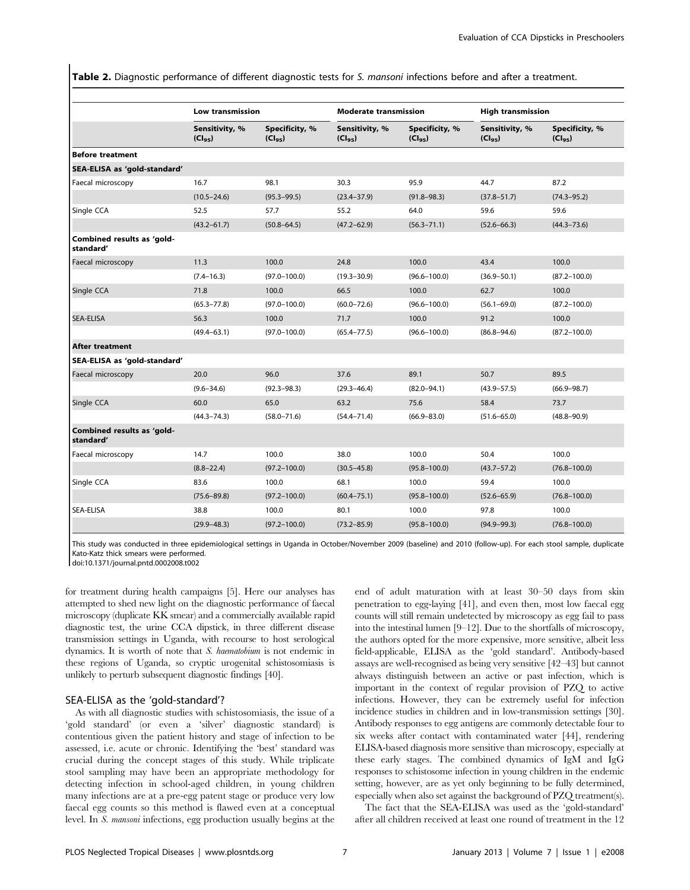Table 2. Diagnostic performance of different diagnostic tests for S. mansoni infections before and after a treatment.

|                                         |                                       | <b>Low transmission</b>       |                               | <b>Moderate transmission</b>  |                               | <b>High transmission</b>      |  |
|-----------------------------------------|---------------------------------------|-------------------------------|-------------------------------|-------------------------------|-------------------------------|-------------------------------|--|
|                                         | Sensitivity, %<br>(Cl <sub>95</sub> ) | Specificity, %<br>$(Cl_{qs})$ | Sensitivity, %<br>$(Cl_{95})$ | Specificity, %<br>$(Cl_{95})$ | Sensitivity, %<br>$(Cl_{95})$ | Specificity, %<br>$(Cl_{95})$ |  |
| <b>Before treatment</b>                 |                                       |                               |                               |                               |                               |                               |  |
| SEA-ELISA as 'gold-standard'            |                                       |                               |                               |                               |                               |                               |  |
| Faecal microscopy                       | 16.7                                  | 98.1                          | 30.3                          | 95.9                          | 44.7                          | 87.2                          |  |
|                                         | $(10.5 - 24.6)$                       | $(95.3 - 99.5)$               | $(23.4 - 37.9)$               | $(91.8 - 98.3)$               | $(37.8 - 51.7)$               | $(74.3 - 95.2)$               |  |
| Single CCA                              | 52.5                                  | 57.7                          | 55.2                          | 64.0                          | 59.6                          | 59.6                          |  |
|                                         | $(43.2 - 61.7)$                       | $(50.8 - 64.5)$               | $(47.2 - 62.9)$               | $(56.3 - 71.1)$               | $(52.6 - 66.3)$               | $(44.3 - 73.6)$               |  |
| Combined results as 'gold-<br>standard' |                                       |                               |                               |                               |                               |                               |  |
| Faecal microscopy                       | 11.3                                  | 100.0                         | 24.8                          | 100.0                         | 43.4                          | 100.0                         |  |
|                                         | $(7.4 - 16.3)$                        | $(97.0 - 100.0)$              | $(19.3 - 30.9)$               | $(96.6 - 100.0)$              | $(36.9 - 50.1)$               | $(87.2 - 100.0)$              |  |
| Single CCA                              | 71.8                                  | 100.0                         | 66.5                          | 100.0                         | 62.7                          | 100.0                         |  |
|                                         | $(65.3 - 77.8)$                       | $(97.0 - 100.0)$              | $(60.0 - 72.6)$               | $(96.6 - 100.0)$              | $(56.1 - 69.0)$               | $(87.2 - 100.0)$              |  |
| <b>SEA-ELISA</b>                        | 56.3                                  | 100.0                         | 71.7                          | 100.0                         | 91.2                          | 100.0                         |  |
|                                         | $(49.4 - 63.1)$                       | $(97.0 - 100.0)$              | $(65.4 - 77.5)$               | $(96.6 - 100.0)$              | $(86.8 - 94.6)$               | $(87.2 - 100.0)$              |  |
| <b>After treatment</b>                  |                                       |                               |                               |                               |                               |                               |  |
| SEA-ELISA as 'gold-standard'            |                                       |                               |                               |                               |                               |                               |  |
| Faecal microscopy                       | 20.0                                  | 96.0                          | 37.6                          | 89.1                          | 50.7                          | 89.5                          |  |
|                                         | $(9.6 - 34.6)$                        | $(92.3 - 98.3)$               | $(29.3 - 46.4)$               | $(82.0 - 94.1)$               | $(43.9 - 57.5)$               | $(66.9 - 98.7)$               |  |
| Single CCA                              | 60.0                                  | 65.0                          | 63.2                          | 75.6                          | 58.4                          | 73.7                          |  |
|                                         | $(44.3 - 74.3)$                       | $(58.0 - 71.6)$               | $(54.4 - 71.4)$               | $(66.9 - 83.0)$               | $(51.6 - 65.0)$               | $(48.8 - 90.9)$               |  |
| Combined results as 'gold-<br>standard' |                                       |                               |                               |                               |                               |                               |  |
| Faecal microscopy                       | 14.7                                  | 100.0                         | 38.0                          | 100.0                         | 50.4                          | 100.0                         |  |
|                                         | $(8.8 - 22.4)$                        | $(97.2 - 100.0)$              | $(30.5 - 45.8)$               | $(95.8 - 100.0)$              | $(43.7 - 57.2)$               | $(76.8 - 100.0)$              |  |
| Single CCA                              | 83.6                                  | 100.0                         | 68.1                          | 100.0                         | 59.4                          | 100.0                         |  |
|                                         | $(75.6 - 89.8)$                       | $(97.2 - 100.0)$              | $(60.4 - 75.1)$               | $(95.8 - 100.0)$              | $(52.6 - 65.9)$               | $(76.8 - 100.0)$              |  |
| SEA-ELISA                               | 38.8                                  | 100.0                         | 80.1                          | 100.0                         | 97.8                          | 100.0                         |  |
|                                         | $(29.9 - 48.3)$                       | $(97.2 - 100.0)$              | $(73.2 - 85.9)$               | $(95.8 - 100.0)$              | $(94.9 - 99.3)$               | $(76.8 - 100.0)$              |  |

This study was conducted in three epidemiological settings in Uganda in October/November 2009 (baseline) and 2010 (follow-up). For each stool sample, duplicate Kato-Katz thick smears were performed.

doi:10.1371/journal.pntd.0002008.t002

for treatment during health campaigns [5]. Here our analyses has attempted to shed new light on the diagnostic performance of faecal microscopy (duplicate KK smear) and a commercially available rapid diagnostic test, the urine CCA dipstick, in three different disease transmission settings in Uganda, with recourse to host serological dynamics. It is worth of note that S. haematobium is not endemic in these regions of Uganda, so cryptic urogenital schistosomiasis is unlikely to perturb subsequent diagnostic findings [40].

# SEA-ELISA as the 'gold-standard'?

As with all diagnostic studies with schistosomiasis, the issue of a 'gold standard' (or even a 'silver' diagnostic standard) is contentious given the patient history and stage of infection to be assessed, i.e. acute or chronic. Identifying the 'best' standard was crucial during the concept stages of this study. While triplicate stool sampling may have been an appropriate methodology for detecting infection in school-aged children, in young children many infections are at a pre-egg patent stage or produce very low faecal egg counts so this method is flawed even at a conceptual level. In S. mansoni infections, egg production usually begins at the

end of adult maturation with at least 30–50 days from skin penetration to egg-laying [41], and even then, most low faecal egg counts will still remain undetected by microscopy as egg fail to pass into the intestinal lumen [9–12]. Due to the shortfalls of microscopy, the authors opted for the more expensive, more sensitive, albeit less field-applicable, ELISA as the 'gold standard'. Antibody-based assays are well-recognised as being very sensitive [42–43] but cannot always distinguish between an active or past infection, which is important in the context of regular provision of PZQ to active infections. However, they can be extremely useful for infection incidence studies in children and in low-transmission settings [30]. Antibody responses to egg antigens are commonly detectable four to six weeks after contact with contaminated water [44], rendering ELISA-based diagnosis more sensitive than microscopy, especially at these early stages. The combined dynamics of IgM and IgG responses to schistosome infection in young children in the endemic setting, however, are as yet only beginning to be fully determined, especially when also set against the background of PZQ treatment(s).

The fact that the SEA-ELISA was used as the 'gold-standard' after all children received at least one round of treatment in the 12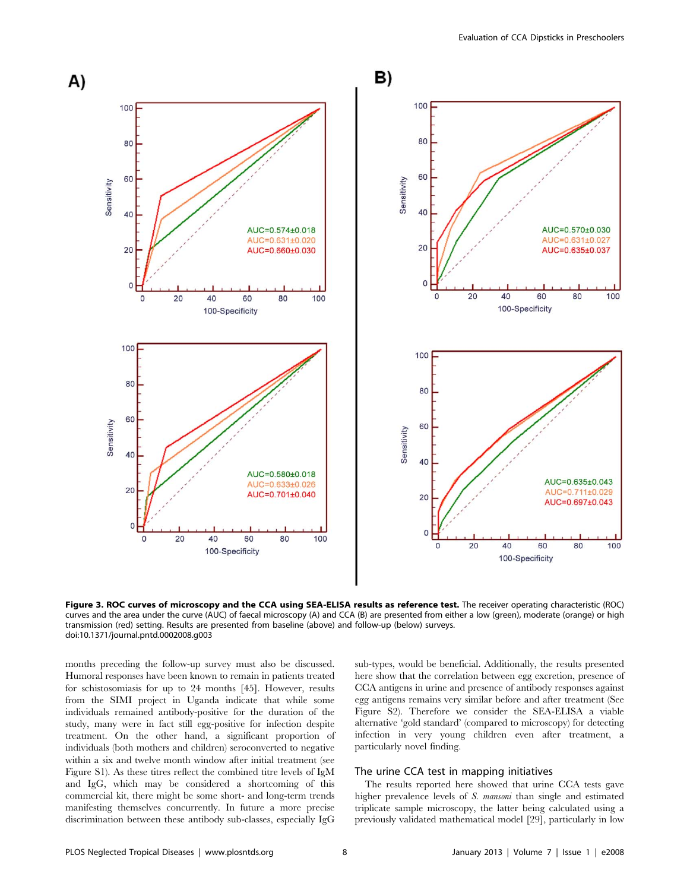

Figure 3. ROC curves of microscopy and the CCA using SEA-ELISA results as reference test. The receiver operating characteristic (ROC) curves and the area under the curve (AUC) of faecal microscopy (A) and CCA (B) are presented from either a low (green), moderate (orange) or high transmission (red) setting. Results are presented from baseline (above) and follow-up (below) surveys. doi:10.1371/journal.pntd.0002008.g003

months preceding the follow-up survey must also be discussed. Humoral responses have been known to remain in patients treated for schistosomiasis for up to 24 months [45]. However, results from the SIMI project in Uganda indicate that while some individuals remained antibody-positive for the duration of the study, many were in fact still egg-positive for infection despite treatment. On the other hand, a significant proportion of individuals (both mothers and children) seroconverted to negative within a six and twelve month window after initial treatment (see Figure S1). As these titres reflect the combined titre levels of IgM and IgG, which may be considered a shortcoming of this commercial kit, there might be some short- and long-term trends manifesting themselves concurrently. In future a more precise discrimination between these antibody sub-classes, especially IgG sub-types, would be beneficial. Additionally, the results presented here show that the correlation between egg excretion, presence of CCA antigens in urine and presence of antibody responses against egg antigens remains very similar before and after treatment (See Figure S2). Therefore we consider the SEA-ELISA a viable alternative 'gold standard' (compared to microscopy) for detecting infection in very young children even after treatment, a particularly novel finding.

# The urine CCA test in mapping initiatives

The results reported here showed that urine CCA tests gave higher prevalence levels of S. mansoni than single and estimated triplicate sample microscopy, the latter being calculated using a previously validated mathematical model [29], particularly in low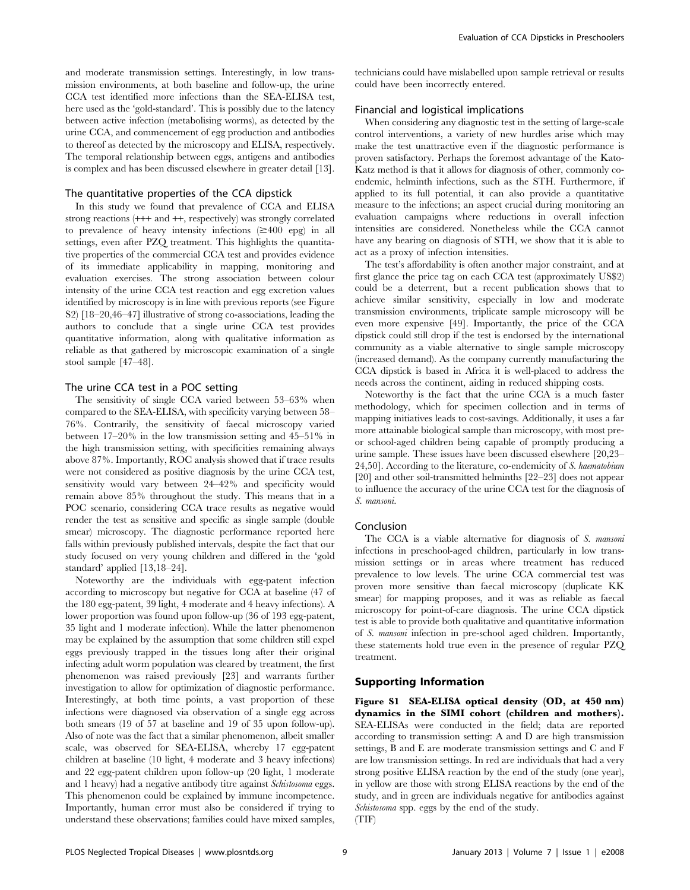and moderate transmission settings. Interestingly, in low transmission environments, at both baseline and follow-up, the urine CCA test identified more infections than the SEA-ELISA test, here used as the 'gold-standard'. This is possibly due to the latency between active infection (metabolising worms), as detected by the urine CCA, and commencement of egg production and antibodies to thereof as detected by the microscopy and ELISA, respectively. The temporal relationship between eggs, antigens and antibodies is complex and has been discussed elsewhere in greater detail [13].

# The quantitative properties of the CCA dipstick

In this study we found that prevalence of CCA and ELISA strong reactions (+++ and ++, respectively) was strongly correlated to prevalence of heavy intensity infections  $(\geq 400 \text{ erg})$  in all settings, even after PZQ treatment. This highlights the quantitative properties of the commercial CCA test and provides evidence of its immediate applicability in mapping, monitoring and evaluation exercises. The strong association between colour intensity of the urine CCA test reaction and egg excretion values identified by microscopy is in line with previous reports (see Figure S2) [18–20,46–47] illustrative of strong co-associations, leading the authors to conclude that a single urine CCA test provides quantitative information, along with qualitative information as reliable as that gathered by microscopic examination of a single stool sample [47–48].

#### The urine CCA test in a POC setting

The sensitivity of single CCA varied between 53–63% when compared to the SEA-ELISA, with specificity varying between 58– 76%. Contrarily, the sensitivity of faecal microscopy varied between 17–20% in the low transmission setting and 45–51% in the high transmission setting, with specificities remaining always above 87%. Importantly, ROC analysis showed that if trace results were not considered as positive diagnosis by the urine CCA test, sensitivity would vary between 24–42% and specificity would remain above 85% throughout the study. This means that in a POC scenario, considering CCA trace results as negative would render the test as sensitive and specific as single sample (double smear) microscopy. The diagnostic performance reported here falls within previously published intervals, despite the fact that our study focused on very young children and differed in the 'gold standard' applied [13,18–24].

Noteworthy are the individuals with egg-patent infection according to microscopy but negative for CCA at baseline (47 of the 180 egg-patent, 39 light, 4 moderate and 4 heavy infections). A lower proportion was found upon follow-up (36 of 193 egg-patent, 35 light and 1 moderate infection). While the latter phenomenon may be explained by the assumption that some children still expel eggs previously trapped in the tissues long after their original infecting adult worm population was cleared by treatment, the first phenomenon was raised previously [23] and warrants further investigation to allow for optimization of diagnostic performance. Interestingly, at both time points, a vast proportion of these infections were diagnosed via observation of a single egg across both smears (19 of 57 at baseline and 19 of 35 upon follow-up). Also of note was the fact that a similar phenomenon, albeit smaller scale, was observed for SEA-ELISA, whereby 17 egg-patent children at baseline (10 light, 4 moderate and 3 heavy infections) and 22 egg-patent children upon follow-up (20 light, 1 moderate and 1 heavy) had a negative antibody titre against Schistosoma eggs. This phenomenon could be explained by immune incompetence. Importantly, human error must also be considered if trying to understand these observations; families could have mixed samples,

technicians could have mislabelled upon sample retrieval or results could have been incorrectly entered.

## Financial and logistical implications

When considering any diagnostic test in the setting of large-scale control interventions, a variety of new hurdles arise which may make the test unattractive even if the diagnostic performance is proven satisfactory. Perhaps the foremost advantage of the Kato-Katz method is that it allows for diagnosis of other, commonly coendemic, helminth infections, such as the STH. Furthermore, if applied to its full potential, it can also provide a quantitative measure to the infections; an aspect crucial during monitoring an evaluation campaigns where reductions in overall infection intensities are considered. Nonetheless while the CCA cannot have any bearing on diagnosis of STH, we show that it is able to act as a proxy of infection intensities.

The test's affordability is often another major constraint, and at first glance the price tag on each CCA test (approximately US\$2) could be a deterrent, but a recent publication shows that to achieve similar sensitivity, especially in low and moderate transmission environments, triplicate sample microscopy will be even more expensive [49]. Importantly, the price of the CCA dipstick could still drop if the test is endorsed by the international community as a viable alternative to single sample microscopy (increased demand). As the company currently manufacturing the CCA dipstick is based in Africa it is well-placed to address the needs across the continent, aiding in reduced shipping costs.

Noteworthy is the fact that the urine CCA is a much faster methodology, which for specimen collection and in terms of mapping initiatives leads to cost-savings. Additionally, it uses a far more attainable biological sample than microscopy, with most preor school-aged children being capable of promptly producing a urine sample. These issues have been discussed elsewhere [20,23– 24,50]. According to the literature, co-endemicity of S. haematobium [20] and other soil-transmitted helminths [22–23] does not appear to influence the accuracy of the urine CCA test for the diagnosis of S. mansoni.

#### Conclusion

The CCA is a viable alternative for diagnosis of S. mansoni infections in preschool-aged children, particularly in low transmission settings or in areas where treatment has reduced prevalence to low levels. The urine CCA commercial test was proven more sensitive than faecal microscopy (duplicate KK smear) for mapping proposes, and it was as reliable as faecal microscopy for point-of-care diagnosis. The urine CCA dipstick test is able to provide both qualitative and quantitative information of S. mansoni infection in pre-school aged children. Importantly, these statements hold true even in the presence of regular PZQ treatment.

# Supporting Information

Figure S1 SEA-ELISA optical density (OD, at 450 nm) dynamics in the SIMI cohort (children and mothers). SEA-ELISAs were conducted in the field; data are reported according to transmission setting: A and D are high transmission settings, B and E are moderate transmission settings and C and F are low transmission settings. In red are individuals that had a very strong positive ELISA reaction by the end of the study (one year), in yellow are those with strong ELISA reactions by the end of the study, and in green are individuals negative for antibodies against Schistosoma spp. eggs by the end of the study.  $(TIF)$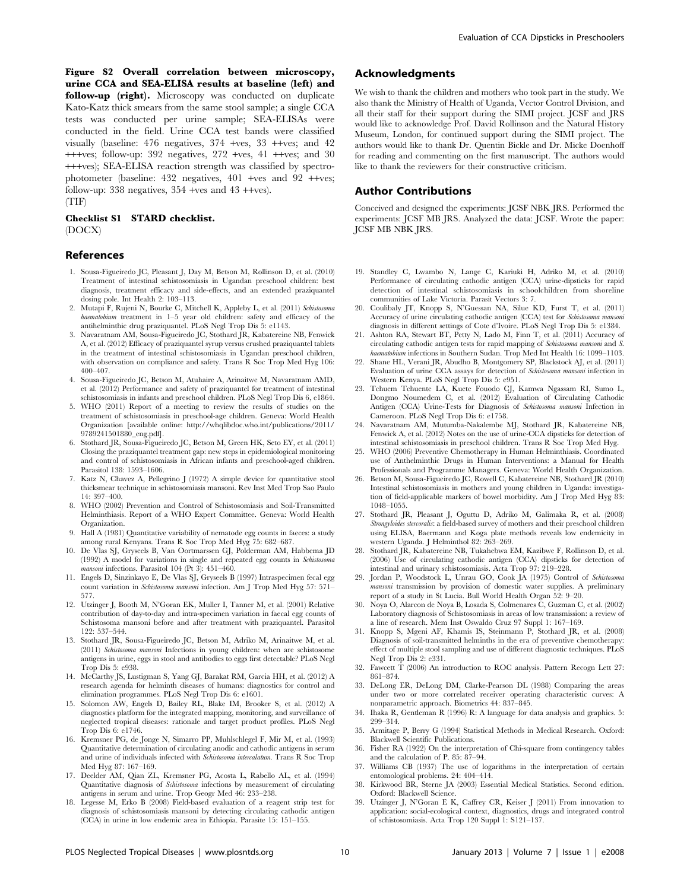Figure S2 Overall correlation between microscopy, urine CCA and SEA-ELISA results at baseline (left) and follow-up (right). Microscopy was conducted on duplicate Kato-Katz thick smears from the same stool sample; a single CCA tests was conducted per urine sample; SEA-ELISAs were conducted in the field. Urine CCA test bands were classified visually (baseline: 476 negatives, 374 +ves, 33 ++ves; and 42 +++ves; follow-up: 392 negatives, 272 +ves, 41 ++ves; and 30 +++ves); SEA-ELISA reaction strength was classified by spectrophotometer (baseline: 432 negatives, 401 +ves and 92 ++ves; follow-up:  $338$  negatives,  $354$  +ves and  $43$  ++ves). (TIF)

Checklist S1 STARD checklist. (DOCX)

#### References

- 1. Sousa-Figueiredo JC, Pleasant J, Day M, Betson M, Rollinson D, et al. (2010) Treatment of intestinal schistosomiasis in Ugandan preschool children: best diagnosis, treatment efficacy and side-effects, and an extended praziquantel dosing pole. Int Health 2: 103–113.
- 2. Mutapi F, Rujeni N, Bourke C, Mitchell K, Appleby L, et al. (2011) Schistosoma haematobium treatment in 1-5 year old children: safety and efficacy of the antihelminthic drug praziquantel. PLoS Negl Trop Dis 5: e1143.
- 3. Navaratnam AM, Sousa-Figueiredo JC, Stothard JR, Kabatereine NB, Fenwick A, et al. (2012) Efficacy of praziquantel syrup versus crushed praziquantel tablets in the treatment of intestinal schistosomiasis in Ugandan preschool children, with observation on compliance and safety. Trans R Soc Trop Med Hyg 106: 400–407.
- 4. Sousa-Figueiredo JC, Betson M, Atuhaire A, Arinaitwe M, Navaratnam AMD, et al. (2012) Performance and safety of praziquantel for treatment of intestinal schistosomiasis in infants and preschool children. PLoS Negl Trop Dis 6, e1864.
- 5. WHO (2011) Report of a meeting to review the results of studies on the treatment of schistosomiasis in preschool-age children. Geneva: World Health Organization [available online: http://whqlibdoc.who.int/publications/2011/ 9789241501880\_eng.pdf].
- 6. Stothard JR, Sousa-Figueiredo JC, Betson M, Green HK, Seto EY, et al. (2011) Closing the praziquantel treatment gap: new steps in epidemiological monitoring and control of schistosomiasis in African infants and preschool-aged children. Parasitol 138: 1593–1606.
- 7. Katz N, Chavez A, Pellegrino J (1972) A simple device for quantitative stool thicksmear technique in schistosomiasis mansoni. Rev Inst Med Trop Sao Paulo 14: 397–400.
- 8. WHO (2002) Prevention and Control of Schistosomiasis and Soil-Transmitted Helminthiasis. Report of a WHO Expert Committee. Geneva: World Health Organization.
- 9. Hall A (1981) Quantitative variability of nematode egg counts in faeces: a study among rural Kenyans. Trans R Soc Trop Med Hyg 75: 682–687.
- 10. De Vlas SJ, Gryseels B, Van Oortmarssen GJ, Polderman AM, Habbema JD (1992) A model for variations in single and repeated egg counts in Schistosoma nansoni infections. Parasitol 104 (Pt 3): 451-460.
- 11. Engels D, Sinzinkayo E, De Vlas SJ, Gryseels B (1997) Intraspecimen fecal egg count variation in Schistosoma mansoni infection. Am J Trop Med Hyg 57: 571– 577.
- 12. Utzinger J, Booth M, N'Goran EK, Muller I, Tanner M, et al. (2001) Relative contribution of day-to-day and intra-specimen variation in faecal egg counts of Schistosoma mansoni before and after treatment with praziquantel. Parasitol 122: 537–544.
- 13. Stothard JR, Sousa-Figueiredo JC, Betson M, Adriko M, Arinaitwe M, et al. (2011) Schistosoma mansoni Infections in young children: when are schistosome antigens in urine, eggs in stool and antibodies to eggs first detectable? PLoS Negl Trop Dis 5: e938.
- 14. McCarthy JS, Lustigman S, Yang GJ, Barakat RM, Garcia HH, et al. (2012) A research agenda for helminth diseases of humans: diagnostics for control and elimination programmes. PLoS Negl Trop Dis 6: e1601.
- 15. Solomon AW, Engels D, Bailey RL, Blake IM, Brooker S, et al. (2012) A diagnostics platform for the integrated mapping, monitoring, and surveillance of neglected tropical diseases: rationale and target product profiles. PLoS Negl Trop Dis 6: e1746.
- 16. Kremsner PG, de Jonge N, Simarro PP, Muhlschlegel F, Mir M, et al. (1993) Quantitative determination of circulating anodic and cathodic antigens in serum and urine of individuals infected with Schistosoma intercalatum. Trans R Soc Trop Med Hyg 87: 167–169.
- 17. Deelder AM, Qian ZL, Kremsner PG, Acosta L, Rabello AL, et al. (1994) Quantitative diagnosis of Schistosoma infections by measurement of circulating antigens in serum and urine. Trop Geogr Med 46: 233–238.
- 18. Legesse M, Erko B (2008) Field-based evaluation of a reagent strip test for diagnosis of schistosomiasis mansoni by detecting circulating cathodic antigen (CCA) in urine in low endemic area in Ethiopia. Parasite 15: 151–155.

# Acknowledgments

We wish to thank the children and mothers who took part in the study. We also thank the Ministry of Health of Uganda, Vector Control Division, and all their staff for their support during the SIMI project. JCSF and JRS would like to acknowledge Prof. David Rollinson and the Natural History Museum, London, for continued support during the SIMI project. The authors would like to thank Dr. Quentin Bickle and Dr. Micke Doenhoff for reading and commenting on the first manuscript. The authors would like to thank the reviewers for their constructive criticism.

#### Author Contributions

Conceived and designed the experiments: JCSF NBK JRS. Performed the experiments: JCSF MB JRS. Analyzed the data: JCSF. Wrote the paper: JCSF MB NBK JRS.

- 19. Standley C, Lwambo N, Lange C, Kariuki H, Adriko M, et al. (2010) Performance of circulating cathodic antigen (CCA) urine-dipsticks for rapid detection of intestinal schistosomiasis in schoolchildren from shoreline communities of Lake Victoria. Parasit Vectors 3: 7.
- 20. Coulibaly JT, Knopp S, N'Guessan NA, Silue KD, Furst T, et al. (2011) Accuracy of urine circulating cathodic antigen (CCA) test for Schistosoma mansoni diagnosis in different settings of Cote d'Ivoire. PLoS Negl Trop Dis 5: e1384.
- 21. Ashton RA, Stewart BT, Petty N, Lado M, Finn T, et al. (2011) Accuracy of circulating cathodic antigen tests for rapid mapping of Schistosoma mansoni and S. haematobium infections in Southern Sudan. Trop Med Int Health 16: 1099–1103.
- 22. Shane HL, Verani JR, Abudho B, Montgomery SP, Blackstock AJ, et al. (2011) Evaluation of urine CCA assays for detection of Schistosoma mansoni infection in Western Kenya. PLoS Negl Trop Dis 5: e951.
- 23. Tchuem Tchuente LA, Kuete Fouodo CJ, Kamwa Ngassam RI, Sumo L, Dongmo Noumedem C, et al. (2012) Evaluation of Circulating Cathodic Antigen (CCA) Urine-Tests for Diagnosis of Schistosoma mansoni Infection in Cameroon. PLoS Negl Trop Dis 6: e1758.
- 24. Navaratnam AM, Mutumba-Nakalembe MJ, Stothard JR, Kabatereine NB, Fenwick A, et al. (2012) Notes on the use of urine-CCA dipsticks for detection of intestinal schistosomiasis in preschool children. Trans R Soc Trop Med Hyg.
- 25. WHO (2006) Preventive Chemotherapy in Human Helminthiasis. Coordinated use of Anthelminthic Drugs in Human Interventions: a Manual for Health Professionals and Programme Managers. Geneva: World Health Organization.
- 26. Betson M, Sousa-Figueiredo JC, Rowell C, Kabatereine NB, Stothard JR (2010) Intestinal schistosomiasis in mothers and young children in Uganda: investigation of field-applicable markers of bowel morbidity. Am J Trop Med Hyg 83: 1048–1055.
- 27. Stothard JR, Pleasant J, Oguttu D, Adriko M, Galimaka R, et al. (2008) Strongyloides stercoralis: a field-based survey of mothers and their preschool children using ELISA, Baermann and Koga plate methods reveals low endemicity in western Uganda. J Helminthol 82: 263–269.
- 28. Stothard JR, Kabatereine NB, Tukahebwa EM, Kazibwe F, Rollinson D, et al. (2006) Use of circulating cathodic antigen (CCA) dipsticks for detection of intestinal and urinary schistosomiasis. Acta Trop 97: 219–228.
- 29. Jordan P, Woodstock L, Unrau GO, Cook JA (1975) Control of Schistosoma mansoni transmission by provision of domestic water supplies. A preliminary report of a study in St Lucia. Bull World Health Organ 52: 9–20.
- 30. Noya O, Alarcon de Noya B, Losada S, Colmenares C, Guzman C, et al. (2002) Laboratory diagnosis of Schistosomiasis in areas of low transmission: a review of a line of research. Mem Inst Oswaldo Cruz 97 Suppl 1: 167–169.
- 31. Knopp S, Mgeni AF, Khamis IS, Steinmann P, Stothard JR, et al. (2008) Diagnosis of soil-transmitted helminths in the era of preventive chemotherapy: effect of multiple stool sampling and use of different diagnostic techniques. PLoS Negl Trop Dis 2: e331.
- 32. Fawcett T (2006) An introduction to ROC analysis. Pattern Recogn Lett 27: 861–874.
- 33. DeLong ER, DeLong DM, Clarke-Pearson DL (1988) Comparing the areas under two or more correlated receiver operating characteristic curves: A nonparametric approach. Biometrics 44: 837–845.
- 34. Ihaka R, Gentleman R (1996) R: A language for data analysis and graphics. 5: 299–314.
- 35. Armitage P, Berry G (1994) Statistical Methods in Medical Research. Oxford: Blackwell Scientific Publications.
- 36. Fisher RA (1922) On the interpretation of Chi-square from contingency tables and the calculation of P. 85: 87–94.
- 37. Williams CB (1937) The use of logarithms in the interpretation of certain entomological problems. 24: 404–414.
- 38. Kirkwood BR, Sterne JA (2003) Essential Medical Statistics. Second edition. Oxford: Blackwell Science.
- 39. Utzinger J, N'Goran E K, Caffrey CR, Keiser J (2011) From innovation to application: social-ecological context, diagnostics, drugs and integrated control of schistosomiasis. Acta Trop 120 Suppl 1: S121–137.